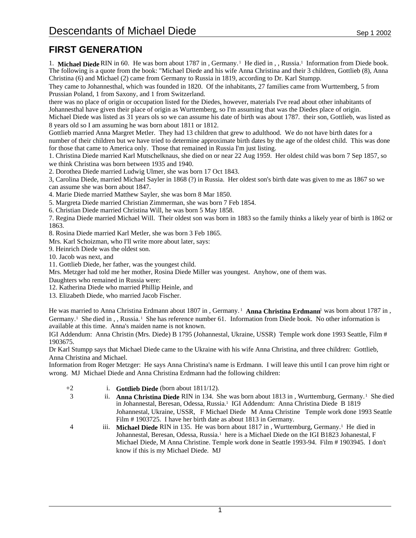# <span id="page-0-0"></span>**FIRST GENERATION**

1. Michael Diede RIN in 60. He was born about 1787 in, Germany.<sup>1</sup> He died in, , Russia.<sup>1</sup> Information from Diede book. The following is a quote from the book: "Michael Diede and his wife Anna Christina and their 3 children, Gottlieb (8), Anna Christina (6) and Michael (2) came from Germany to Russia in 1819, according to Dr. Karl Stumpp.

They came to Johannesthal, which was founded in 1820. Of the inhabitants, 27 families came from Wurttemberg, 5 from Prussian Poland, 1 from Saxony, and 1 from Switzerland.

there was no place of origin or occupation listed for the Diedes, however, materials I've read about other inhabitants of Johannesthal have given their place of origin as Wurttemberg, so I'm assuming that was the Diedes place of origin.

Michael Diede was listed as 31 years ols so we can assume his date of birth was about 1787. their son, Gottlieb, was listed as 8 years old so I am assuming he was born about 1811 or 1812.

Gottlieb married Anna Margret Metler. They had 13 children that grew to adulthood. We do not have birth dates for a number of their children but we have tried to determine approximate birth dates by the age of the oldest child. This was done for those that came to America only. Those that remained in Russia I'm just listing.

1. Christina Diede married Karl Mutschelknaus, she died on or near 22 Aug 1959. Her oldest child was born 7 Sep 1857, so we think Christina was born between 1935 and 1940.

2. Dorothea Diede married Ludwig Ulmer, she was born 17 Oct 1843.

3, Carolina Diede, married Michael Sayler in 1868 (?) in Russia. Her oldest son's birth date was given to me as 1867 so we can assume she was born about 1847.

4. Marie Diede married Matthew Sayler, she was born 8 Mar 1850.

5. Margreta Diede married Christian Zimmerman, she was born 7 Feb 1854.

6. Christian Diede married Christina Will, he was born 5 May 1858.

7. Regina Diede married Michael Will. Their oldest son was born in 1883 so the family thinks a likely year of birth is 1862 or 1863.

8. Rosina Diede married Karl Metler, she was born 3 Feb 1865.

Mrs. Karl Schoizman, who I'll write more about later, says:

9. Heinrich Diede was the oldest son.

10. Jacob was next, and

11. Gottlieb Diede, her father, was the youngest child.

Mrs. Metzger had told me her mother, Rosina Diede Miller was youngest. Anyhow, one of them was.

Daughters who remained in Russia were:

12. Katherina Diede who married Phillip Heinle, and

13. Elizabeth Diede, who married Jacob Fischer.

He was married to Anna Christina Erdmann about 1807 in , Germany.<sup>1</sup> Anna Christina Erdmann<sup>1</sup> was born about 1787 in , Germany.<sup>1</sup> She died in, Russia.<sup>1</sup> She has reference number 61. Information from Diede book. No other information is available at this time. Anna's maiden name is not known.

IGI Addendum: Anna Christin (Mrs. Diede) B 1795 (Johannestal, Ukraine, USSR) Temple work done 1993 Seattle, Film # 1903675.

Dr Karl Stumpp says that Michael Diede came to the Ukraine with his wife Anna Christina, and three children: Gottlieb, Anna Christina and Michael.

Information from Roger Metzger: He says Anna Christina's name is Erdmann. I will leave this until I can prove him right or wrong. MJ Michael Diede and Anna Christina Erdmann had the following children:

- +2 i. **Gottlieb Diede** (born about 1811/12).
- 
- 
- 3 ii. **Anna Christina Diede** RIN in 134. She was born about 1813 in, Wurttemburg, Germany.<sup>1</sup> She died in Johannestal, Beresan, Odessa, Russia.<sup>1</sup> IGI Addendum: Anna Christina Diede B 1819 Johannestal, Ukraine, USSR, F Michael Diede M Anna Christine Temple work done 1993 Seattle Film # 1903725. I have her birth date as about 1813 in Germany.
- 4 iii. **Michael Diede** RIN in 135. He was born about 1817 in, Wurttemburg, Germany.<sup>1</sup> He died in Johannestal, Beresan, Odessa, Russia.<sup>1</sup> here is a Michael Diede on the IGI B1823 Johanestal, F Michael Diede, M Anna Christine. Temple work done in Seattle 1993-94. Film # 1903945. I don't know if this is my Michael Diede. MJ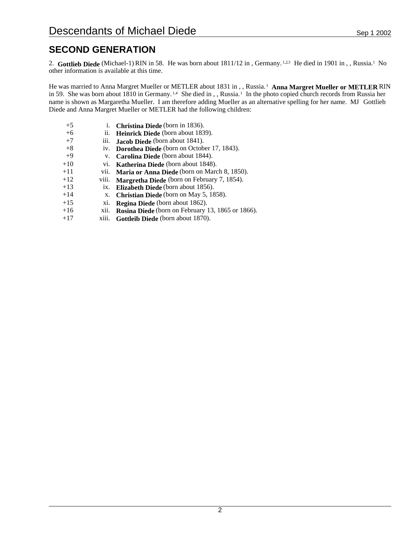#### <span id="page-1-0"></span>**SECOND GENERATION**

2. Gottlieb Diede (Michael-1) RIN in 58. He was born about 1811/12 in, Germany.<sup>1,2,3</sup> He died in 1901 in,, Russia.<sup>1</sup> No other information is available at this time.

He was married to Anna Margret Mueller or METLER about 1831 in , , Russia. <sup>1</sup>  **Anna Margret Mueller or METLER** RIN in 59. She was born about 1810 in Germany.<sup>1,4</sup> She died in,, Russia.<sup>1</sup> In the photo copied church records from Russia her name is shown as Margaretha Mueller. I am therefore adding Mueller as an alternative spelling for her name. MJ Gottlieb Diede and Anna Margret Mueller or METLER had the following children:

- +5 i. **Christina Diede** (born in 1836).
- ii. **Heinrick Diede** (born about 1839).
- +7 iii. **Jacob Diede** (born about 1841).
- +8 iv. **Dorothea Diede** (born on October 17, 1843).
- v. **Carolina Diede** (born about 1844).
- +10 vi. **Katherina Diede** (born about 1848).
	- vii. **Maria or Anna Diede** (born on March 8, 1850).
- +12 viii. **Margretha Diede** (born on February 7, 1854).
- +13 ix. **Elizabeth Diede** (born about 1856).
	- +14 x. **Christian Diede** (born on May 5, 1858).
- +15 xi. **Regina Diede** (born about 1862).
	- xii. **Rosina Diede** (born on February 13, 1865 or 1866).
- +17 xiii. **Gottleib Diede** (born about 1870).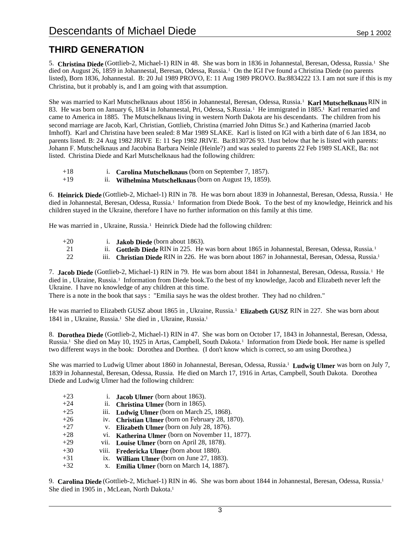## <span id="page-2-0"></span>**THIRD GENERATION**

5. Christina Diede (Gottlieb-2, Michael-1) RIN in 48. She was born in 1836 in Johannestal, Beresan, Odessa, Russia.<sup>1</sup> She died on August 26, 1859 in Johannestal, Beresan, Odessa, Russia.<sup>1</sup> On the IGI I've found a Christina Diede (no parents listed), Born 1836, Johannestal. B: 20 Jul 1989 PROVO, E: 11 Aug 1989 PROVO. Ba:8834222 13. I am not sure if this is my Christina, but it probably is, and I am going with that assumption.

She was married to Karl Mutschelknaus about 1856 in Johannestal, Beresan, Odessa, Russia.<sup>1</sup> Karl Mutschelknaus RIN in 83. He was born on January 6, 1834 in Johannestal, Pri, Odessa, S.Russia.<sup>1</sup> He immigrated in 1885.<sup>1</sup> Karl remarried and came to America in 1885. The Mutschelknaus living in western North Dakota are his descendants. The children from his second marriage are Jacob, Karl, Christian, Gottlieb, Christina (married John Dittus Sr.) and Katherina (married Jacob Imhoff). Karl and Christina have been sealed: 8 Mar 1989 SLAKE. Karl is listed on IGI with a birth date of 6 Jan 1834, no parents listed. B: 24 Aug 1982 JRIVE E: 11 Sep 1982 JRIVE. Ba:8130726 93. !Just below that he is listed with parents: Johann F. Mutschelknaus and Jacobina Barbara Neinle (Heinle?) and was sealed to parents 22 Feb 1989 SLAKE, Ba: not listed. Christina Diede and Karl Mutschelknaus had the following children:

- +18 i. **Carolina Mutschelknaus** (born on September 7, 1857).
	- ii. **Wilhelmina Mutschelknaus** (born on August 19, 1859).

6. Heinrick Diede (Gottlieb-2, Michael-1) RIN in 78. He was born about 1839 in Johannestal, Beresan, Odessa, Russia.<sup>1</sup> He died in Johannestal, Beresan, Odessa, Russia.<sup>1</sup> Information from Diede Book. To the best of my knowledge, Heinrick and his children stayed in the Ukraine, therefore I have no further information on this family at this time.

He was married in, Ukraine, Russia.<sup>1</sup> Heinrick Diede had the following children:

- +20 i. **Jakob Diede** (born about 1863).
- 21 ii. **Gottleib Diede** RIN in 225. He was born about 1865 in Johannestal, Beresan, Odessa, Russia.<sup>1</sup><br>22 iii. **Christian Diede** RIN in 226. He was born about 1867 in Johannestal, Beresan, Odessa, Russia.
	- iii. **Christian Diede** RIN in 226. He was born about 1867 in Johannestal, Beresan, Odessa, Russia.<sup>1</sup>

7. **Jacob Diede** (Gottlieb-2, Michael-1) RIN in 79. He was born about 1841 in Johannestal, Beresan, Odessa, Russia.<sup>1</sup> He died in , Ukraine, Russia.<sup>1</sup> Information from Diede book.To the best of my knowledge, Jacob and Elizabeth never left the Ukraine. I have no knowledge of any children at this time.

There is a note in the book that says : "Emilia says he was the oldest brother. They had no children."

He was married to Elizabeth GUSZ about 1865 in, Ukraine, Russia.<sup>1</sup> Elizabeth GUSZ RIN in 227. She was born about 1841 in, Ukraine, Russia.<sup>1</sup> She died in, Ukraine, Russia.<sup>1</sup>

8. **Dorothea Diede** (Gottlieb-2, Michael-1) RIN in 47. She was born on October 17, 1843 in Johannestal, Beresan, Odessa, Russia.<sup>1</sup> She died on May 10, 1925 in Artas, Campbell, South Dakota.<sup>1</sup> Information from Diede book. Her name is spelled two different ways in the book: Dorothea and Dorthea. (I don't know which is correct, so am using Dorothea.)

She was married to Ludwig Ulmer about 1860 in Johannestal, Beresan, Odessa, Russia.<sup>1</sup> Ludwig Ulmer was born on July 7, 1839 in Johannestal, Beresan, Odessa, Russia. He died on March 17, 1916 in Artas, Campbell, South Dakota. Dorothea Diede and Ludwig Ulmer had the following children:

- +23 i. **Jacob Ulmer** (born about 1863).
- +24 ii. **Christina Ulmer** (born in 1865).
- +25 iii. **Ludwig Ulmer** (born on March 25, 1868).
- +26 iv. **Christian Ulmer** (born on February 28, 1870).<br>+27 v. **Elizabeth Ulmer** (born on July 28, 1876).
- v. **Elizabeth Ulmer** (born on July 28, 1876).
- +28 vi. **Katherina Ulmer** (born on November 11, 1877).
- +29 vii. **Louise Ulmer** (born on April 28, 1878).
- +30 viii. **Fredericka Ulmer** (born about 1880).
	- ix. **William Ulmer** (born on June 27, 1883).
- +32 x. **Emilia Ulmer** (born on March 14, 1887).

9. **Carolina Diede** (Gottlieb-2, Michael-1) RIN in 46. She was born about 1844 in Johannestal, Beresan, Odessa, Russia.<sup>1</sup> She died in 1905 in, McLean, North Dakota.<sup>1</sup>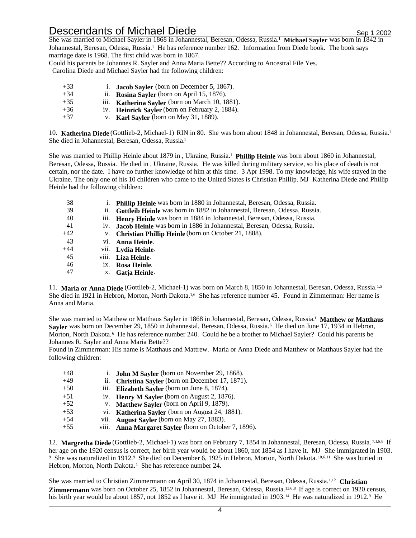<span id="page-3-0"></span>She was married to Michael Sayler in 1868 in Johannestal, Beresan, Odessa, Russia.<sup>1</sup>  **Michael Sayler** was born in 1842 in Johannestal, Beresan, Odessa, Russia.<sup>1</sup> He has reference number 162. Information from Diede book. The book says marriage date is 1968. The first child was born in 1867.

Could his parents be Johannes R. Sayler and Anna Maria Bette?? According to Ancestral File Yes. Carolina Diede and Michael Sayler had the following children:

- 
- +33 i. **Jacob Sayler** (born on December 5, 1867).<br>+34 ii. **Rosina Sayler** (born on April 15, 1876). ii. **Rosina Sayler** (born on April 15, 1876).
- 
- +35 iii. **Katherina Sayler** (born on March 10, 1881).<br>+36 iv. **Heinrick Sayler** (born on February 2, 1884).
- +36 iv. **Heinrick Sayler** (born on February 2, 1884).<br>+37 v. **Karl Sayler** (born on May 31, 1889).
- v. **Karl Sayler** (born on May 31, 1889).

10. **Katherina Diede** (Gottlieb-2, Michael-1) RIN in 80. She was born about 1848 in Johannestal, Beresan, Odessa, Russia.<sup>1</sup> She died in Johannestal, Beresan, Odessa, Russia.<sup>1</sup>

She was married to Phillip Heinle about 1879 in, Ukraine, Russia.<sup>1</sup> Phillip Heinle was born about 1860 in Johannestal, Beresan, Odessa, Russia. He died in , Ukraine, Russia. He was killed during military service, so his place of death is not certain, nor the date. I have no further knowledge of him at this time. 3 Apr 1998. To my knowledge, his wife stayed in the Ukraine. The only one of his 10 children who came to the United States is Christian Phillip. MJ Katherina Diede and Phillip Heinle had the following children:

| 38    |       | i. Phillip Heinle was born in 1880 in Johannestal, Beresan, Odessa, Russia.   |
|-------|-------|-------------------------------------------------------------------------------|
| 39    |       | ii. Gottleib Heinle was born in 1882 in Johannestal, Beresan, Odessa, Russia. |
| 40    |       | iii. Henry Heinle was born in 1884 in Johannestal, Beresan, Odessa, Russia.   |
| 41    |       | iv. Jacob Heinle was born in 1886 in Johannestal, Beresan, Odessa, Russia.    |
| $+42$ |       | v. Christian Phillip Heinle (born on October 21, 1888).                       |
| 43    | V1.   | <b>Anna Heinle.</b>                                                           |
| $+44$ |       | vii. Lydia Heinle.                                                            |
| 45    | V111. | Liza Heinle.                                                                  |
| 46    | 1X.   | Rosa Heinle.                                                                  |
| 47    | х.    | Gatja Heinle.                                                                 |

11. **Maria or Anna Diede** (Gottlieb-2, Michael-1) was born on March 8, 1850 in Johannestal, Beresan, Odessa, Russia.1,5 She died in 1921 in Hebron, Morton, North Dakota.<sup>1,6</sup> She has reference number 45. Found in Zimmerman: Her name is Anna and Maria.

She was married to Matthew or Matthaus Sayler in 1868 in Johannestal, Beresan, Odessa, Russia.<sup>1</sup> Matthew or Matthaus Sayler was born on December 29, 1850 in Johannestal, Beresan, Odessa, Russia.<sup>6</sup> He died on June 17, 1934 in Hebron, Morton, North Dakota.<sup>6</sup> He has reference number 240. Could he be a brother to Michael Sayler? Could his parents be Johannes R. Sayler and Anna Maria Bette??

Found in Zimmerman: His name is Matthaus and Mattrew. Maria or Anna Diede and Matthew or Matthaus Sayler had the following children:

| $+48$ |       | <b>John M Sayler</b> (born on November 29, 1868). |
|-------|-------|---------------------------------------------------|
| $+49$ | 11.   | Christina Sayler (born on December 17, 1871).     |
| $+50$ | 111.  | Elizabeth Sayler (born on June 8, 1874).          |
| $+51$ | 1V.   | Henry M Sayler (born on August 2, 1876).          |
| $+52$ | V.    | <b>Matthew Sayler</b> (born on April 9, 1879).    |
| $+53$ | V1.   | Katherina Sayler (born on August 24, 1881).       |
| $+54$ | vii.  | August Sayler (born on May 27, 1883).             |
| $+55$ | V111. | Anna Margaret Sayler (born on October 7, 1896).   |
|       |       |                                                   |

12. Margretha Diede (Gottlieb-2, Michael-1) was born on February 7, 1854 in Johannestal, Beresan, Odessa, Russia.<sup>7,1,6,8</sup> If her age on the 1920 census is correct, her birth year would be about 1860, not 1854 as I have it. MJ She immigrated in 1903. <sup>9</sup> She was naturalized in 1912.<sup>9</sup> She died on December 6, 1925 in Hebron, Morton, North Dakota. <sup>10,6,11</sup> She was buried in Hebron, Morton, North Dakota.<sup>1</sup> She has reference number 24.

She was married to Christian Zimmermann on April 30, 1874 in Johannestal, Beresan, Odessa, Russia.1,12 **Christian**  Zimmermann was born on October 25, 1852 in Johannestal, Beresan, Odessa, Russia.<sup>13,6,8</sup> If age is correct on 1920 census, his birth year would be about 1857, not 1852 as I have it. MJ He immigrated in 1903.<sup>14</sup> He was naturalized in 1912.<sup>9</sup> He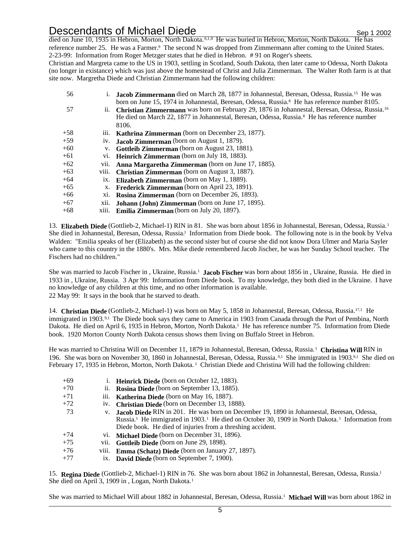<span id="page-4-0"></span>died on June 10, 1935 in Hebron, Morton, North Dakota. 6,1,8 He was buried in Hebron, Morton, North Dakota. He has reference number 25. He was a Farmer.<sup>9</sup> The second N was dropped from Zimmermann after coming to the United States. 2-23-99: Information from Roger Metzger states that he died in Hebron. # 91 on Roger's sheets.

Christian and Margreta came to the US in 1903, settling in Scotland, South Dakota, then later came to Odessa, North Dakota (no longer in existance) which was just above the homestead of Christ and Julia Zimmerman. The Walter Roth farm is at that site now. Margretha Diede and Christian Zimmermann had the following children:

| 56    |       | Jacob Zimmermann died on March 28, 1877 in Johannestal, Beresan, Odessa, Russia. <sup>15</sup> He was     |
|-------|-------|-----------------------------------------------------------------------------------------------------------|
|       |       | born on June 15, 1974 in Johannestal, Beresan, Odessa, Russia. <sup>8</sup> He has reference number 8105. |
| 57    | 11.   | Christian Zimmermann was born on February 29, 1876 in Johannestal, Beresan, Odessa, Russia. <sup>16</sup> |
|       |       | He died on March 22, 1877 in Johannestal, Beresan, Odessa, Russia. <sup>8</sup> He has reference number   |
|       |       | 8106.                                                                                                     |
| $+58$ | 111.  | Kathrina Zimmerman (born on December 23, 1877).                                                           |
| $+59$ | 1V.   | Jacob Zimmerman (born on August 1, 1879).                                                                 |
| $+60$ | v.    | Gottleib Zimmerman (born on August 23, 1881).                                                             |
| $+61$ | V1.   | Heinrich Zimmerman (born on July 18, 1883).                                                               |
| $+62$ | V11.  | Anna Margaretha Zimmerman (born on June 17, 1885).                                                        |
| $+63$ | V111. | Christian Zimmerman (born on August 3, 1887).                                                             |
| $+64$ | 1X.   | Elizabeth Zimmerman (born on May 1, 1889).                                                                |
| $+65$ | х.    | <b>Frederick Zimmerman</b> (born on April 23, 1891).                                                      |
| +66   | X1.   | Rosina Zimmerman (born on December 26, 1893).                                                             |
| $+67$ | X11.  | Johann (John) Zimmerman (born on June 17, 1895).                                                          |
| $+68$ | X111. | Emilia Zimmerman (born on July 20, 1897).                                                                 |
|       |       |                                                                                                           |

13. **Elizabeth Diede** (Gottlieb-2, Michael-1) RIN in 81. She was born about 1856 in Johannestal, Beresan, Odessa, Russia.<sup>1</sup> She died in Johannestal, Beresan, Odessa, Russia.<sup>1</sup> Information from Diede book. The following note is in the book by Velva Walden: "Emilia speaks of her (Elizabeth) as the second sister but of course she did not know Dora Ulmer and Maria Sayler who came to this country in the 1880's. Mrs. Mike diede remembered Jacob Jischer, he was her Sunday School teacher. The Fischers had no children."

She was married to Jacob Fischer in, Ukraine, Russia.<sup>1</sup> Jacob Fischer was born about 1856 in, Ukraine, Russia. He died in 1933 in , Ukraine, Russia. 3 Apr 99: Information from Diede book. To my knowledge, they both died in the Ukraine. I have no knowledge of any children at this time, and no other information is available. 22 May 99: It says in the book that he starved to death.

14. **Christian Diede** (Gottlieb-2, Michael-1) was born on May 5, 1858 in Johannestal, Beresan, Odessa, Russia.17,1 He immigrated in 1903.<sup>9,1</sup> The Diede book says they came to America in 1903 from Canada through the Port of Pembina, North Dakota. He died on April 6, 1935 in Hebron, Morton, North Dakota.<sup>1</sup> He has reference number 75. Information from Diede book. 1920 Morton County North Dakota census shows them living on Buffalo Street in Hebron.

He was married to Christina Will on December 11, 1879 in Johannestal, Beresan, Odessa, Russia. <sup>1</sup>  **Christina Will**RIN in 196. She was born on November 30, 1860 in Johannestal, Beresan, Odessa, Russia. 9,1 She immigrated in 1903.9,1 She died on February 17, 1935 in Hebron, Morton, North Dakota. <sup>1</sup> Christian Diede and Christina Will had the following children:

| $+69$ |       | Heinrick Diede (born on October 12, 1883).                                                                                          |
|-------|-------|-------------------------------------------------------------------------------------------------------------------------------------|
| $+70$ | 11.   | <b>Rosina Diede</b> (born on September 13, 1885).                                                                                   |
| $+71$ | 111.  | Katherina Diede (born on May 16, 1887).                                                                                             |
| $+72$ |       | iv. Christian Diede (born on December 13, 1888).                                                                                    |
| 73    | V.    | <b>Jacob Diede</b> RIN in 201. He was born on December 19, 1890 in Johannestal, Beresan, Odessa,                                    |
|       |       | Russia. <sup>1</sup> He immigrated in 1903. <sup>1</sup> He died on October 30, 1909 in North Dakota. <sup>1</sup> Information from |
|       |       | Diede book. He died of injuries from a threshing accident.                                                                          |
| $+74$ |       | vi. Michael Diede (born on December 31, 1896).                                                                                      |
| $+75$ | V11.  | Gottleib Diede (born on June 29, 1898).                                                                                             |
| $+76$ | V111. | Emma (Schatz) Diede (born on January 27, 1897).                                                                                     |
| $+77$ |       | ix. David Diede (born on September 7, 1900).                                                                                        |

15. **Regina Diede** (Gottlieb-2, Michael-1) RIN in 76. She was born about 1862 in Johannestal, Beresan, Odessa, Russia.<sup>1</sup> She died on April 3, 1909 in , Logan, North Dakota.<sup>1</sup>

She was married to Michael Will about 1882 in Johannestal, Beresan, Odessa, Russia.<sup>1</sup> Michael Will was born about 1862 in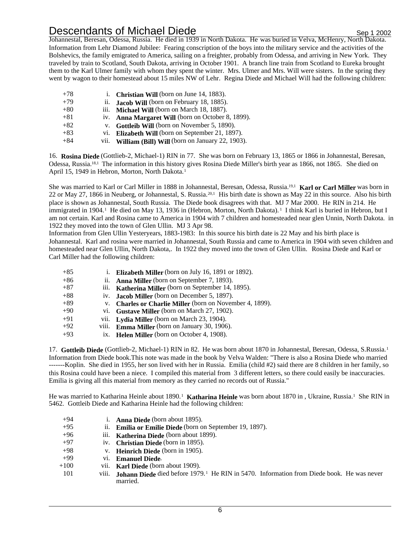<span id="page-5-0"></span>Johannestal, Beresan, Odessa, Russia. He died in 1939 in North Dakota. He was buried in Velva, McHenry, North Dakota. Information from Lehr Diamond Jubilee: Fearing conscription of the boys into the military service and the activities of the Bolshevics, the family emigrated to America, sailing on a freighter, probably from Odessa, and arriving in New York. They traveled by train to Scotland, South Dakota, arriving in October 1901. A branch line train from Scotland to Eureka brought them to the Karl Ulmer family with whom they spent the winter. Mrs. Ulmer and Mrs. Will were sisters. In the spring they went by wagon to their homestead about 15 miles NW of Lehr. Regina Diede and Michael Will had the following children:

- +78 i. **Christian Will** (born on June 14, 1883).
- +79 ii. **Jacob Will** (born on February 18, 1885).<br>+80 iii. **Michael Will** (born on March 18, 1887).
- +80 iii. **Michael Will** (born on March 18, 1887).<br>+81 iv. **Anna Margaret Will** (born on October 8
- iv. **Anna Margaret Will** (born on October 8, 1899).
- +82 v. **Gottleib Will** (born on November 5, 1890).<br>+83 vi. **Elizabeth Will** (born on September 21, 189)
	- vi. **Elizabeth Will** (born on September 21, 1897).
- +84 vii. **William (Bill) Will** (born on January 22, 1903).

16. **Rosina Diede** (Gottlieb-2, Michael-1) RIN in 77. She was born on February 13, 1865 or 1866 in Johannestal, Beresan, Odessa, Russia.<sup>18,1</sup> The information in this history gives Rosina Diede Miller's birth year as 1866, not 1865. She died on April 15, 1949 in Hebron, Morton, North Dakota.<sup>1</sup>

She was married to Karl or Carl Miller in 1888 in Johannestal, Beresan, Odessa, Russia.19,1 **Karl or Carl Miller** was born in 22 or May 27, 1866 in Neuberg, or Johannestal, S. Russia.20,1 His birth date is shown as May 22 in this source. Also his birth place is shown as Johannestal, South Russia. The Diede book disagrees with that. MJ 7 Mar 2000. He RIN in 214. He immigrated in 1904.<sup>1</sup> He died on May 13, 1936 in (Hebron, Morton, North Dakota).<sup>1</sup> I think Karl is buried in Hebron, but I am not certain. Karl and Rosina came to America in 1904 with 7 children and homesteaded near glen Unnin, North Dakota. in 1922 they moved into the town of Glen Ullin. MJ 3 Apr 98.

Information from Glen Ullin Yesteryears, 1883-1983: In this source his birth date is 22 May and his birth place is Johannestal. Karl and rosina were married in Johannestal, South Russia and came to America in 1904 with seven children and homesteaded near Glen Ullin, North Dakota,. In 1922 they moved into the town of Glen Ullin. Rosina Diede and Karl or Carl Miller had the following children:

|                    | Elizabeth Miller (born on July 16, 1891 or 1892).        |
|--------------------|----------------------------------------------------------|
| $\overline{11}$ .  | <b>Anna Miller</b> (born on September 7, 1893).          |
| $\overline{111}$ . | Katherina Miller (born on September 14, 1895).           |
| 1V.                | Jacob Miller (born on December 5, 1897).                 |
|                    | v. Charles or Charlie Miller (born on November 4, 1899). |
|                    | vi. Gustave Miller (born on March 27, 1902).             |
|                    | vii. Lydia Miller (born on March 23, 1904).              |
| viii.              | <b>Emma Miller</b> (born on January 30, 1906).           |
| 1X.                | Helen Miller (born on October 4, 1908).                  |
|                    |                                                          |

17. **Gottleib Diede** (Gottlieb-2, Michael-1) RIN in 82. He was born about 1870 in Johannestal, Beresan, Odessa, S.Russia.<sup>1</sup> Information from Diede book.This note was made in the book by Velva Walden: "There is also a Rosina Diede who married -------Koplin. She died in 1955, her son lived with her in Russia. Emilia (child #2) said there are 8 children in her family, so this Rosina could have been a niece. I compiled this material from 3 different letters, so there could easily be inaccuracies. Emilia is giving all this material from memory as they carried no records out of Russia."

He was married to Katharina Heinle about 1890.<sup>1</sup> Katharina Heinle was born about 1870 in, Ukraine, Russia.<sup>1</sup> She RIN in 5462. Gottleib Diede and Katharina Heinle had the following children:

- +94 i. **Anna Diede** (born about 1895).
	- ii. **Emilia or Emilie Diede** (born on September 19, 1897).
- +96 iii. **Katherina Diede** (born about 1899).
- +97 iv. **Christian Diede** (born in 1895).
- +98 v. **Heinrich Diede** (born in 1905).
- vi. **Emanuel Diede.**
- +100 vii. **Karl Diede** (born about 1909).
- 101 viii. **Johann Diede** died before 1979.<sup>1</sup> He RIN in 5470. Information from Diede book. He was never married.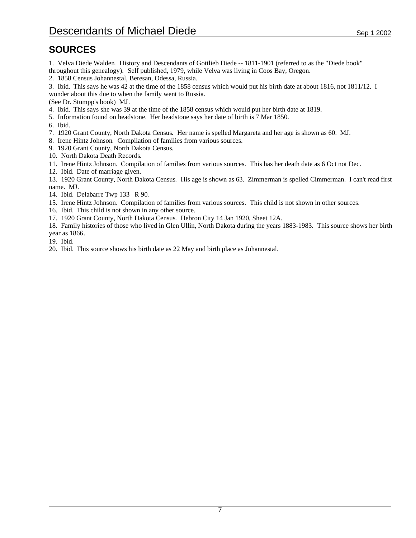1. Velva Diede Walden. History and Descendants of Gottlieb Diede -- 1811-1901 (referred to as the "Diede book" throughout this genealogy). Self published, 1979, while Velva was living in Coos Bay, Oregon.

2. 1858 Census Johannestal, Beresan, Odessa, Russia.

3. Ibid. This says he was 42 at the time of the 1858 census which would put his birth date at about 1816, not 1811/12. I wonder about this due to when the family went to Russia.

(See Dr. Stumpp's book) MJ.

- 4. Ibid. This says she was 39 at the time of the 1858 census which would put her birth date at 1819.
- 5. Information found on headstone. Her headstone says her date of birth is 7 Mar 1850.

6. Ibid.

- 7. 1920 Grant County, North Dakota Census. Her name is spelled Margareta and her age is shown as 60. MJ.
- 8. Irene Hintz Johnson. Compilation of families from various sources.
- 9. 1920 Grant County, North Dakota Census.
- 10. North Dakota Death Records.
- 11. Irene Hintz Johnson. Compilation of families from various sources. This has her death date as 6 Oct not Dec.
- 12. Ibid. Date of marriage given.

13. 1920 Grant County, North Dakota Census. His age is shown as 63. Zimmerman is spelled Cimmerman. I can't read first name. MJ.

- 14. Ibid. Delabarre Twp 133 R 90.
- 15. Irene Hintz Johnson. Compilation of families from various sources. This child is not shown in other sources.
- 16. Ibid. This child is not shown in any other source.
- 17. 1920 Grant County, North Dakota Census. Hebron City 14 Jan 1920, Sheet 12A.
- 18. Family histories of those who lived in Glen Ullin, North Dakota during the years 1883-1983. This source shows her birth year as 1866.
- 19. Ibid.
- 20. Ibid. This source shows his birth date as 22 May and birth place as Johannestal.